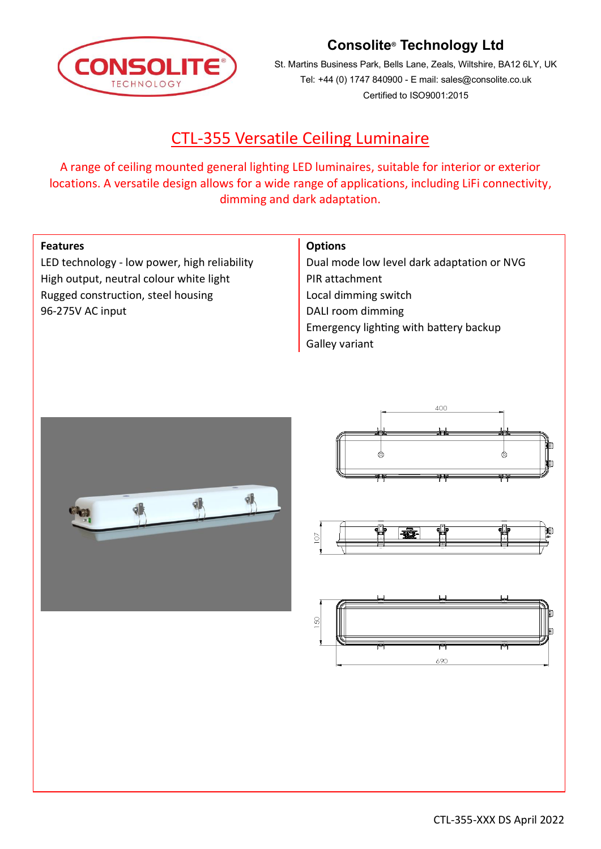

# **Consolite® Technology Ltd**

St. Martins Business Park, Bells Lane, Zeals, Wiltshire, BA12 6LY, UK Tel: +44 (0) 1747 840900 - E mail: sales@consolite.co.uk Certified to ISO9001:2015

# CTL-355 Versatile Ceiling Luminaire

A range of ceiling mounted general lighting LED luminaires, suitable for interior or exterior locations. A versatile design allows for a wide range of applications, including LiFi connectivity, dimming and dark adaptation.

### **Features**

LED technology - low power, high reliability High output, neutral colour white light Rugged construction, steel housing 96-275V AC input

### **Options**

Dual mode low level dark adaptation or NVG PIR attachment Local dimming switch DALI room dimming Emergency lighting with battery backup Galley variant